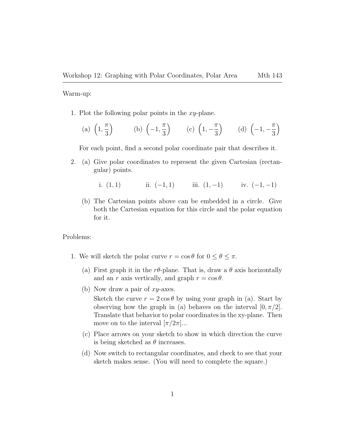Warm-up:

- 1. Plot the following polar points in the  $xy$ -plane.
	- $(a)$   $(1,$ π 3 (b)  $\left(-1, \frac{\pi}{2}\right)$ 3 (c)  $(1, -\frac{\pi}{2})$ 3 (d)  $\left(-1, -\frac{\pi}{2}\right)$ 3  $\setminus$

For each point, find a second polar coordinate pair that describes it.

- 2. (a) Give polar coordinates to represent the given Cartesian (rectangular) points.
	- i.  $(1, 1)$  ii.  $(-1, 1)$  iii.  $(1, -1)$  iv.  $(-1, -1)$
	- (b) The Cartesian points above can be embedded in a circle. Give both the Cartesian equation for this circle and the polar equation for it.

Problems:

- 1. We will sketch the polar curve  $r = \cos \theta$  for  $0 \le \theta \le \pi$ .
	- (a) First graph it in the r $\theta$ -plane. That is, draw a  $\theta$  axis horizontally and an r axis vertically, and graph  $r = \cos \theta$ .
	- (b) Now draw a pair of  $xy$ -axes.

Sketch the curve  $r = 2 \cos \theta$  by using your graph in (a). Start by observing how the graph in (a) behaves on the interval  $[0, \pi/2]$ . Translate that behavior to polar coordinates in the xy-plane. Then move on to the interval  $[\pi/2\pi]...$ 

- (c) Place arrows on your sketch to show in which direction the curve is being sketched as  $\theta$  increases.
- (d) Now switch to rectangular coordinates, and check to see that your sketch makes sense. (You will need to complete the square.)